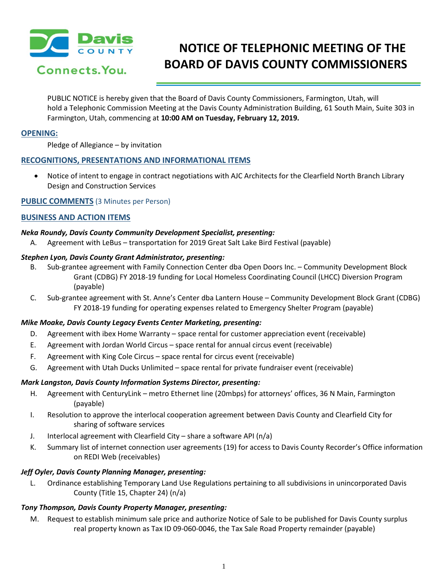

# **NOTICE OF TELEPHONIC MEETING OF THE BOARD OF DAVIS COUNTY COMMISSIONERS**

PUBLIC NOTICE is hereby given that the Board of Davis County Commissioners, Farmington, Utah, will hold a Telephonic Commission Meeting at the Davis County Administration Building, 61 South Main, Suite 303 in Farmington, Utah, commencing at **10:00 AM on Tuesday, February 12, 2019.**

# **OPENING:**

Pledge of Allegiance – by invitation

# **RECOGNITIONS, PRESENTATIONS AND INFORMATIONAL ITEMS**

• Notice of intent to engage in contract negotiations with AJC Architects for the Clearfield North Branch Library Design and Construction Services

# **PUBLIC COMMENTS** (3 Minutes per Person)

# **BUSINESS AND ACTION ITEMS**

# *Neka Roundy, Davis County Community Development Specialist, presenting:*

A. Agreement with LeBus – transportation for 2019 Great Salt Lake Bird Festival (payable)

# *Stephen Lyon, Davis County Grant Administrator, presenting:*

- B. Sub-grantee agreement with Family Connection Center dba Open Doors Inc. Community Development Block Grant (CDBG) FY 2018-19 funding for Local Homeless Coordinating Council (LHCC) Diversion Program (payable)
- C. Sub-grantee agreement with St. Anne's Center dba Lantern House Community Development Block Grant (CDBG) FY 2018-19 funding for operating expenses related to Emergency Shelter Program (payable)

# *Mike Moake, Davis County Legacy Events Center Marketing, presenting:*

- D. Agreement with ibex Home Warranty space rental for customer appreciation event (receivable)
- E. Agreement with Jordan World Circus space rental for annual circus event (receivable)
- F. Agreement with King Cole Circus space rental for circus event (receivable)
- G. Agreement with Utah Ducks Unlimited space rental for private fundraiser event (receivable)

# *Mark Langston, Davis County Information Systems Director, presenting:*

- H. Agreement with CenturyLink metro Ethernet line (20mbps) for attorneys' offices, 36 N Main, Farmington (payable)
- I. Resolution to approve the interlocal cooperation agreement between Davis County and Clearfield City for sharing of software services
- J. Interlocal agreement with Clearfield City share a software API (n/a)
- K. Summary list of internet connection user agreements (19) for access to Davis County Recorder's Office information on REDI Web (receivables)

# *Jeff Oyler, Davis County Planning Manager, presenting:*

 L. Ordinance establishing Temporary Land Use Regulations pertaining to all subdivisions in unincorporated Davis County (Title 15, Chapter 24) (n/a)

# *Tony Thompson, Davis County Property Manager, presenting:*

 M. Request to establish minimum sale price and authorize Notice of Sale to be published for Davis County surplus real property known as Tax ID 09-060-0046, the Tax Sale Road Property remainder (payable)